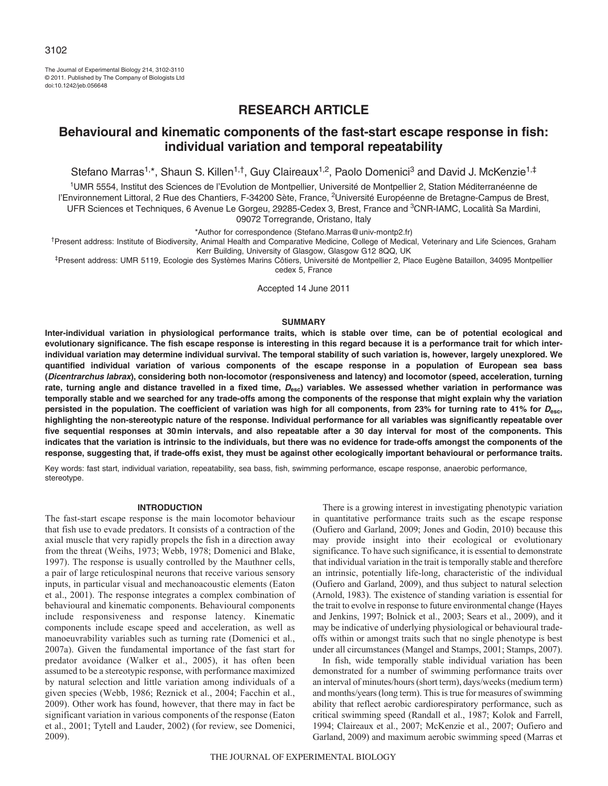The Journal of Experimental Biology 214, 3102-3110 © 2011. Published by The Company of Biologists Ltd doi:10.1242/jeb.056648

# **RESEARCH ARTICLE**

# **Behavioural and kinematic components of the fast-start escape response in fish: individual variation and temporal repeatability**

Stefano Marras<sup>1,\*</sup>, Shaun S. Killen<sup>1,†</sup>, Guy Claireaux<sup>1,2</sup>, Paolo Domenici<sup>3</sup> and David J. McKenzie<sup>1,‡</sup>

1UMR 5554, Institut des Sciences de l'Evolution de Montpellier, Université de Montpellier 2, Station Méditerranéenne de l'Environnement Littoral, 2 Rue des Chantiers, F-34200 Sète, France, <sup>2</sup>Université Européenne de Bretagne-Campus de Brest, UFR Sciences et Techniques, 6 Avenue Le Gorgeu, 29285-Cedex 3, Brest, France and <sup>3</sup>CNR-IAMC, Località Sa Mardini, 09072 Torregrande, Oristano, Italy

\*Author for correspondence (Stefano.Marras@univ-montp2.fr)

†Present address: Institute of Biodiversity, Animal Health and Comparative Medicine, College of Medical, Veterinary and Life Sciences, Graham Kerr Building, University of Glasgow, Glasgow G12 8QQ, UK

‡Present address: UMR 5119, Ecologie des Systèmes Marins Côtiers, Université de Montpellier 2, Place Eugène Bataillon, 34095 Montpellier cedex 5, France

Accepted 14 June 2011

## **SUMMARY**

**Inter-individual variation in physiological performance traits, which is stable over time, can be of potential ecological and evolutionary significance. The fish escape response is interesting in this regard because it is a performance trait for which interindividual variation may determine individual survival. The temporal stability of such variation is, however, largely unexplored. We quantified individual variation of various components of the escape response in a population of European sea bass (Dicentrarchus labrax), considering both non-locomotor (responsiveness and latency) and locomotor (speed, acceleration, turning** rate, turning angle and distance travelled in a fixed time,  $D_{\text{esc}}$ ) variables. We assessed whether variation in performance was **temporally stable and we searched for any trade-offs among the components of the response that might explain why the variation persisted in the population. The coefficient of variation was high for all components, from 23% for turning rate to 41% for Desc, highlighting the non-stereotypic nature of the response. Individual performance for all variables was significantly repeatable over five sequential responses at 30min intervals, and also repeatable after a 30 day interval for most of the components. This indicates that the variation is intrinsic to the individuals, but there was no evidence for trade-offs amongst the components of the response, suggesting that, if trade-offs exist, they must be against other ecologically important behavioural or performance traits.**

Key words: fast start, individual variation, repeatability, sea bass, fish, swimming performance, escape response, anaerobic performance, stereotype.

### **INTRODUCTION**

The fast-start escape response is the main locomotor behaviour that fish use to evade predators. It consists of a contraction of the axial muscle that very rapidly propels the fish in a direction away from the threat (Weihs, 1973; Webb, 1978; Domenici and Blake, 1997). The response is usually controlled by the Mauthner cells, a pair of large reticulospinal neurons that receive various sensory inputs, in particular visual and mechanoacoustic elements (Eaton et al., 2001). The response integrates a complex combination of behavioural and kinematic components. Behavioural components include responsiveness and response latency. Kinematic components include escape speed and acceleration, as well as manoeuvrability variables such as turning rate (Domenici et al., 2007a). Given the fundamental importance of the fast start for predator avoidance (Walker et al., 2005), it has often been assumed to be a stereotypic response, with performance maximized by natural selection and little variation among individuals of a given species (Webb, 1986; Reznick et al., 2004; Facchin et al., 2009). Other work has found, however, that there may in fact be significant variation in various components of the response (Eaton et al., 2001; Tytell and Lauder, 2002) (for review, see Domenici, 2009).

There is a growing interest in investigating phenotypic variation in quantitative performance traits such as the escape response (Oufiero and Garland, 2009; Jones and Godin, 2010) because this may provide insight into their ecological or evolutionary significance. To have such significance, it is essential to demonstrate that individual variation in the trait is temporally stable and therefore an intrinsic, potentially life-long, characteristic of the individual (Oufiero and Garland, 2009), and thus subject to natural selection (Arnold, 1983). The existence of standing variation is essential for the trait to evolve in response to future environmental change (Hayes and Jenkins, 1997; Bolnick et al., 2003; Sears et al., 2009), and it may be indicative of underlying physiological or behavioural tradeoffs within or amongst traits such that no single phenotype is best under all circumstances (Mangel and Stamps, 2001; Stamps, 2007).

In fish, wide temporally stable individual variation has been demonstrated for a number of swimming performance traits over an interval of minutes/hours (short term), days/weeks (medium term) and months/years (long term). This is true for measures of swimming ability that reflect aerobic cardiorespiratory performance, such as critical swimming speed (Randall et al., 1987; Kolok and Farrell, 1994; Claireaux et al., 2007; McKenzie et al., 2007; Oufiero and Garland, 2009) and maximum aerobic swimming speed (Marras et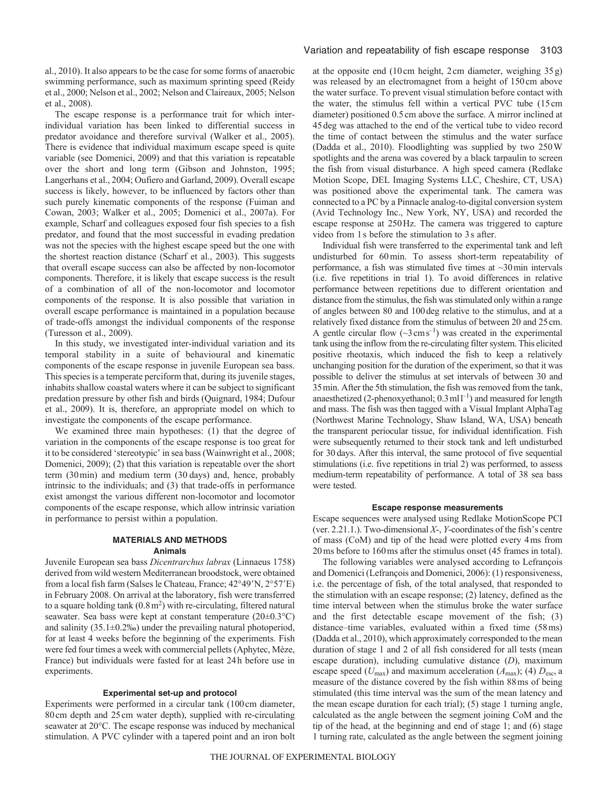al., 2010). It also appears to be the case for some forms of anaerobic swimming performance, such as maximum sprinting speed (Reidy et al., 2000; Nelson et al., 2002; Nelson and Claireaux, 2005; Nelson et al., 2008).

The escape response is a performance trait for which interindividual variation has been linked to differential success in predator avoidance and therefore survival (Walker et al., 2005). There is evidence that individual maximum escape speed is quite variable (see Domenici, 2009) and that this variation is repeatable over the short and long term (Gibson and Johnston, 1995; Langerhans et al., 2004; Oufiero and Garland, 2009). Overall escape success is likely, however, to be influenced by factors other than such purely kinematic components of the response (Fuiman and Cowan, 2003; Walker et al., 2005; Domenici et al., 2007a). For example, Scharf and colleagues exposed four fish species to a fish predator, and found that the most successful in evading predation was not the species with the highest escape speed but the one with the shortest reaction distance (Scharf et al., 2003). This suggests that overall escape success can also be affected by non-locomotor components. Therefore, it is likely that escape success is the result of a combination of all of the non-locomotor and locomotor components of the response. It is also possible that variation in overall escape performance is maintained in a population because of trade-offs amongst the individual components of the response (Turesson et al., 2009).

In this study, we investigated inter-individual variation and its temporal stability in a suite of behavioural and kinematic components of the escape response in juvenile European sea bass. This species is a temperate perciform that, during its juvenile stages, inhabits shallow coastal waters where it can be subject to significant predation pressure by other fish and birds (Quignard, 1984; Dufour et al., 2009). It is, therefore, an appropriate model on which to investigate the components of the escape performance.

We examined three main hypotheses: (1) that the degree of variation in the components of the escape response is too great for it to be considered 'stereotypic' in sea bass (Wainwright et al., 2008; Domenici, 2009); (2) that this variation is repeatable over the short term (30min) and medium term (30 days) and, hence, probably intrinsic to the individuals; and (3) that trade-offs in performance exist amongst the various different non-locomotor and locomotor components of the escape response, which allow intrinsic variation in performance to persist within a population.

# **MATERIALS AND METHODS Animals**

Juvenile European sea bass *Dicentrarchus labrax* (Linnaeus 1758) derived from wild western Mediterranean broodstock, were obtained from a local fish farm (Salses le Chateau, France; 42°49'N, 2°57'E) in February 2008. On arrival at the laboratory, fish were transferred to a square holding tank  $(0.8 \text{ m}^2)$  with re-circulating, filtered natural seawater. Sea bass were kept at constant temperature (20±0.3°C) and salinity  $(35.1\pm0.2\%)$  under the prevailing natural photoperiod, for at least 4 weeks before the beginning of the experiments. Fish were fed four times a week with commercial pellets (Aphytec, Mèze, France) but individuals were fasted for at least 24h before use in experiments.

## **Experimental set-up and protocol**

Experiments were performed in a circular tank (100cm diameter, 80cm depth and 25cm water depth), supplied with re-circulating seawater at 20°C. The escape response was induced by mechanical stimulation. A PVC cylinder with a tapered point and an iron bolt at the opposite end (10cm height, 2cm diameter, weighing 35g) was released by an electromagnet from a height of 150cm above the water surface. To prevent visual stimulation before contact with the water, the stimulus fell within a vertical PVC tube (15cm diameter) positioned 0.5cm above the surface. A mirror inclined at 45deg was attached to the end of the vertical tube to video record the time of contact between the stimulus and the water surface (Dadda et al., 2010). Floodlighting was supplied by two 250W spotlights and the arena was covered by a black tarpaulin to screen the fish from visual disturbance. A high speed camera (Redlake Motion Scope, DEL Imaging Systems LLC, Cheshire, CT, USA) was positioned above the experimental tank. The camera was connected to a PC by a Pinnacle analog-to-digital conversion system (Avid Technology Inc., New York, NY, USA) and recorded the escape response at 250Hz. The camera was triggered to capture video from 1s before the stimulation to 3s after.

Individual fish were transferred to the experimental tank and left undisturbed for 60min. To assess short-term repeatability of performance, a fish was stimulated five times at  $\sim$ 30 min intervals (i.e. five repetitions in trial 1). To avoid differences in relative performance between repetitions due to different orientation and distance from the stimulus, the fish was stimulated only within a range of angles between 80 and 100deg relative to the stimulus, and at a relatively fixed distance from the stimulus of between 20 and 25cm. A gentle circular flow  $({\sim}3 \text{ cm s}^{-1})$  was created in the experimental tank using the inflow from the re-circulating filter system. This elicited positive rheotaxis, which induced the fish to keep a relatively unchanging position for the duration of the experiment, so that it was possible to deliver the stimulus at set intervals of between 30 and 35min. After the 5th stimulation, the fish was removed from the tank, anaesthetized (2-phenoxyethanol;  $0.3$  ml  $l^{-1}$ ) and measured for length and mass. The fish was then tagged with a Visual Implant AlphaTag (Northwest Marine Technology, Shaw Island, WA, USA) beneath the transparent periocular tissue, for individual identification. Fish were subsequently returned to their stock tank and left undisturbed for 30 days. After this interval, the same protocol of five sequential stimulations (i.e. five repetitions in trial 2) was performed, to assess medium-term repeatability of performance. A total of 38 sea bass were tested.

### **Escape response measurements**

Escape sequences were analysed using Redlake MotionScope PCI (ver. 2.21.1.). Two-dimensional *X*-, *Y*-coordinates of the fish's centre of mass (CoM) and tip of the head were plotted every 4ms from 20ms before to 160ms after the stimulus onset (45 frames in total).

The following variables were analysed according to Lefrançois and Domenici (Lefrançois and Domenici, 2006): (1) responsiveness, i.e. the percentage of fish, of the total analysed, that responded to the stimulation with an escape response; (2) latency, defined as the time interval between when the stimulus broke the water surface and the first detectable escape movement of the fish; (3) distance–time variables, evaluated within a fixed time (58ms) (Dadda et al., 2010), which approximately corresponded to the mean duration of stage 1 and 2 of all fish considered for all tests (mean escape duration), including cumulative distance (*D*), maximum escape speed ( $U_{\text{max}}$ ) and maximum acceleration ( $A_{\text{max}}$ ); (4)  $D_{\text{esc}}$ , a measure of the distance covered by the fish within 88ms of being stimulated (this time interval was the sum of the mean latency and the mean escape duration for each trial); (5) stage 1 turning angle, calculated as the angle between the segment joining CoM and the tip of the head, at the beginning and end of stage 1; and (6) stage 1 turning rate, calculated as the angle between the segment joining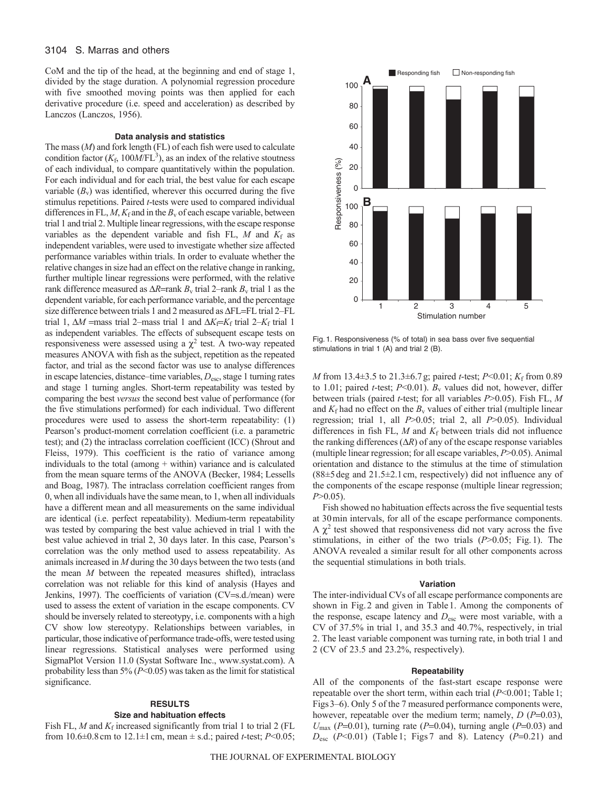# 3104 S. Marras and others

CoM and the tip of the head, at the beginning and end of stage 1, divided by the stage duration. A polynomial regression procedure with five smoothed moving points was then applied for each derivative procedure (i.e. speed and acceleration) as described by Lanczos (Lanczos, 1956).

## **Data analysis and statistics**

The mass (*M*) and fork length (FL) of each fish were used to calculate condition factor  $(K_f, 100M/FL^3)$ , as an index of the relative stoutness of each individual, to compare quantitatively within the population. For each individual and for each trial, the best value for each escape variable  $(B_v)$  was identified, wherever this occurred during the five stimulus repetitions. Paired *t*-tests were used to compared individual differences in FL,  $M$ ,  $K_f$  and in the  $B_v$  of each escape variable, between trial 1 and trial 2. Multiple linear regressions, with the escape response variables as the dependent variable and fish FL,  $M$  and  $K_f$  as independent variables, were used to investigate whether size affected performance variables within trials. In order to evaluate whether the relative changes in size had an effect on the relative change in ranking, further multiple linear regressions were performed, with the relative rank difference measured as  $\Delta R$ =rank  $B_v$  trial 2–rank  $B_v$  trial 1 as the dependent variable, for each performance variable, and the percentage size difference between trials 1 and 2 measured as  $\Delta FL = FL$  trial 2–FL trial 1,  $\Delta M$  =mass trial 2–mass trial 1 and  $\Delta K_f = K_f$  trial 2– $K_f$  trial 1 as independent variables. The effects of subsequent escape tests on responsiveness were assessed using a  $\chi^2$  test. A two-way repeated measures ANOVA with fish as the subject, repetition as the repeated factor, and trial as the second factor was use to analyse differences in escape latencies, distance–time variables, *D*esc, stage 1 turning rates and stage 1 turning angles. Short-term repeatability was tested by comparing the best *versus* the second best value of performance (for the five stimulations performed) for each individual. Two different procedures were used to assess the short-term repeatability: (1) Pearson's product-moment correlation coefficient (i.e. a parametric test); and (2) the intraclass correlation coefficient (ICC) (Shrout and Fleiss, 1979). This coefficient is the ratio of variance among individuals to the total (among  $+$  within) variance and is calculated from the mean square terms of the ANOVA (Becker, 1984; Lessells and Boag, 1987). The intraclass correlation coefficient ranges from 0, when all individuals have the same mean, to 1, when all individuals have a different mean and all measurements on the same individual are identical (i.e. perfect repeatability). Medium-term repeatability was tested by comparing the best value achieved in trial 1 with the best value achieved in trial 2, 30 days later. In this case, Pearson's correlation was the only method used to assess repeatability. As animals increased in *M* during the 30 days between the two tests (and the mean *M* between the repeated measures shifted), intraclass correlation was not reliable for this kind of analysis (Hayes and Jenkins, 1997). The coefficients of variation (CV=s.d./mean) were used to assess the extent of variation in the escape components. CV should be inversely related to stereotypy, i.e. components with a high CV show low stereotypy. Relationships between variables, in particular, those indicative of performance trade-offs, were tested using linear regressions. Statistical analyses were performed using SigmaPlot Version 11.0 (Systat Software Inc., www.systat.com). A probability less than 5% (*P*<0.05) was taken as the limit for statistical significance.

# **RESULTS**

# **Size and habituation effects**

Fish FL,  $M$  and  $K_f$  increased significantly from trial 1 to trial 2 (FL from 10.6 $\pm$ 0.8 cm to 12.1 $\pm$ 1 cm, mean  $\pm$  s.d.; paired *t*-test; *P*<0.05;



Fig. 1. Responsiveness (% of total) in sea bass over five sequential stimulations in trial 1 (A) and trial 2 (B).

*M* from 13.4±3.5 to 21.3±6.7g; paired *t*-test; *P*<0.01; *K*<sub>f</sub> from 0.89 to 1.01; paired *t*-test;  $P<0.01$ ).  $B_v$  values did not, however, differ between trials (paired *t*-test; for all variables *P*>0.05). Fish FL, *M* and  $K_f$  had no effect on the  $B_v$  values of either trial (multiple linear regression; trial 1, all *P*>0.05; trial 2, all *P*>0.05). Individual differences in fish FL, *M* and  $K_f$  between trials did not influence the ranking differences  $(\Delta R)$  of any of the escape response variables (multiple linear regression; for all escape variables, *P*>0.05). Animal orientation and distance to the stimulus at the time of stimulation (88±5deg and 21.5±2.1cm, respectively) did not influence any of the components of the escape response (multiple linear regression; *P*>0.05).

Fish showed no habituation effects across the five sequential tests at 30min intervals, for all of the escape performance components. A  $\chi^2$  test showed that responsiveness did not vary across the five stimulations, in either of the two trials (*P*>0.05; Fig. 1). The ANOVA revealed a similar result for all other components across the sequential stimulations in both trials.

#### **Variation**

The inter-individual CVs of all escape performance components are shown in Fig.2 and given in Table1. Among the components of the response, escape latency and  $D_{\text{esc}}$  were most variable, with a CV of 37.5% in trial 1, and 35.3 and 40.7%, respectively, in trial 2. The least variable component was turning rate, in both trial 1 and 2 (CV of 23.5 and 23.2%, respectively).

# **Repeatability**

All of the components of the fast-start escape response were repeatable over the short term, within each trial (*P*<0.001; Table1; Figs3–6). Only 5 of the 7 measured performance components were, however, repeatable over the medium term; namely,  $D(P=0.03)$ ,  $U_{\text{max}}$  (*P*=0.01), turning rate (*P*=0.04), turning angle (*P*=0.03) and  $D_{\text{esc}}$  ( $P<0.01$ ) (Table 1; Figs 7 and 8). Latency ( $P=0.21$ ) and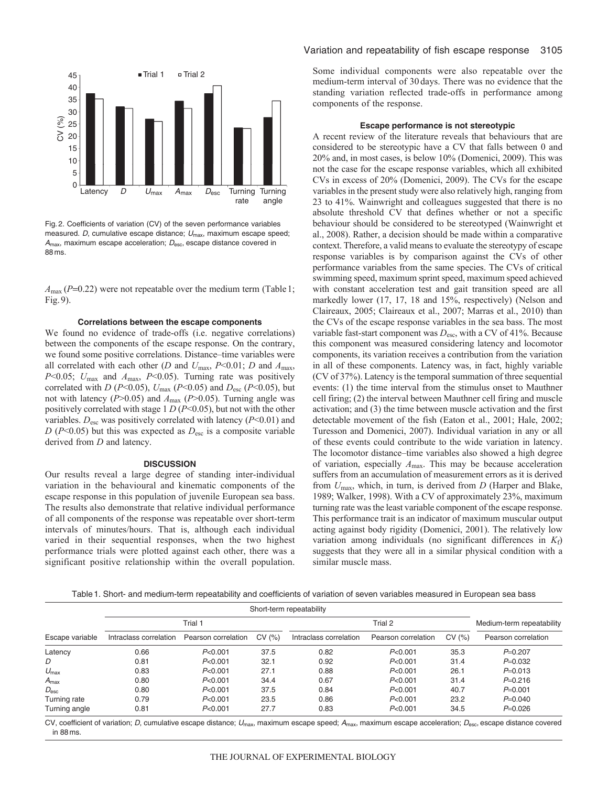

Fig. 2. Coefficients of variation (CV) of the seven performance variables measured. D, cumulative escape distance;  $U_{\text{max}}$ , maximum escape speed;  $A_{\text{max}}$ , maximum escape acceleration;  $D_{\text{esc}}$ , escape distance covered in 88 ms.

*A*<sub>max</sub> (*P*=0.22) were not repeatable over the medium term (Table 1; Fig.9).

## **Correlations between the escape components**

We found no evidence of trade-offs (i.e. negative correlations) between the components of the escape response. On the contrary, we found some positive correlations. Distance–time variables were all correlated with each other (*D* and *U*max, *P*<0.01; *D* and *A*max, *P*<0.05; *U*max and *A*max, *P*<0.05). Turning rate was positively correlated with *D* ( $P$ <0.05),  $U_{\text{max}}$  ( $P$ <0.05) and  $D_{\text{esc}}$  ( $P$  <0.05), but not with latency (*P*>0.05) and *A*max (*P*>0.05). Turning angle was positively correlated with stage 1 *D* (*P*<0.05), but not with the other variables.  $D_{\text{esc}}$  was positively correlated with latency ( $P<0.01$ ) and  $D(P<0.05)$  but this was expected as  $D_{\text{esc}}$  is a composite variable derived from *D* and latency.

### **DISCUSSION**

Our results reveal a large degree of standing inter-individual variation in the behavioural and kinematic components of the escape response in this population of juvenile European sea bass. The results also demonstrate that relative individual performance of all components of the response was repeatable over short-term intervals of minutes/hours. That is, although each individual varied in their sequential responses, when the two highest performance trials were plotted against each other, there was a significant positive relationship within the overall population. Some individual components were also repeatable over the medium-term interval of 30 days. There was no evidence that the standing variation reflected trade-offs in performance among components of the response.

## **Escape performance is not stereotypic**

A recent review of the literature reveals that behaviours that are considered to be stereotypic have a CV that falls between 0 and 20% and, in most cases, is below 10% (Domenici, 2009). This was not the case for the escape response variables, which all exhibited CVs in excess of 20% (Domenici, 2009). The CVs for the escape variables in the present study were also relatively high, ranging from 23 to 41%. Wainwright and colleagues suggested that there is no absolute threshold CV that defines whether or not a specific behaviour should be considered to be stereotyped (Wainwright et al., 2008). Rather, a decision should be made within a comparative context. Therefore, a valid means to evaluate the stereotypy of escape response variables is by comparison against the CVs of other performance variables from the same species. The CVs of critical swimming speed, maximum sprint speed, maximum speed achieved with constant acceleration test and gait transition speed are all markedly lower (17, 17, 18 and 15%, respectively) (Nelson and Claireaux, 2005; Claireaux et al., 2007; Marras et al., 2010) than the CVs of the escape response variables in the sea bass. The most variable fast-start component was *D*esc, with a CV of 41%. Because this component was measured considering latency and locomotor components, its variation receives a contribution from the variation in all of these components. Latency was, in fact, highly variable (CV of 37%). Latency is the temporal summation of three sequential events: (1) the time interval from the stimulus onset to Mauthner cell firing; (2) the interval between Mauthner cell firing and muscle activation; and (3) the time between muscle activation and the first detectable movement of the fish (Eaton et al., 2001; Hale, 2002; Turesson and Domenici, 2007). Individual variation in any or all of these events could contribute to the wide variation in latency. The locomotor distance–time variables also showed a high degree of variation, especially *A*max. This may be because acceleration suffers from an accumulation of measurement errors as it is derived from *U*max, which, in turn, is derived from *D* (Harper and Blake, 1989; Walker, 1998). With a CV of approximately 23%, maximum turning rate was the least variable component of the escape response. This performance trait is an indicator of maximum muscular output acting against body rigidity (Domenici, 2001). The relatively low variation among individuals (no significant differences in  $K_f$ ) suggests that they were all in a similar physical condition with a similar muscle mass.

Table1. Short- and medium-term repeatability and coefficients of variation of seven variables measured in European sea bass

|                  | Short-term repeatability |                     |       |                        |                     |       |                           |
|------------------|--------------------------|---------------------|-------|------------------------|---------------------|-------|---------------------------|
|                  | Trial 1                  |                     |       | Trial 2                |                     |       | Medium-term repeatability |
| Escape variable  | Intraclass correlation   | Pearson correlation | CV(%) | Intraclass correlation | Pearson correlation | CV(%) | Pearson correlation       |
| Latency          | 0.66                     | P<0.001             | 37.5  | 0.82                   | P<0.001             | 35.3  | $P=0.207$                 |
| D                | 0.81                     | P<0.001             | 32.1  | 0.92                   | P<0.001             | 31.4  | $P=0.032$                 |
| $U_{\text{max}}$ | 0.83                     | P<0.001             | 27.1  | 0.88                   | P<0.001             | 26.1  | $P=0.013$                 |
| $A_{\text{max}}$ | 0.80                     | P<0.001             | 34.4  | 0.67                   | P<0.001             | 31.4  | $P=0.216$                 |
| $D_{\rm esc}$    | 0.80                     | P<0.001             | 37.5  | 0.84                   | P<0.001             | 40.7  | $P=0.001$                 |
| Turning rate     | 0.79                     | P<0.001             | 23.5  | 0.86                   | P<0.001             | 23.2  | $P=0.040$                 |
| Turning angle    | 0.81                     | P<0.001             | 27.7  | 0.83                   | P<0.001             | 34.5  | $P=0.026$                 |

CV, coefficient of variation; D, cumulative escape distance;  $U_{\text{max}}$ , maximum escape speed;  $A_{\text{max}}$ , maximum escape acceleration;  $D_{\text{esc}}$ , escape distance covered in 88 ms.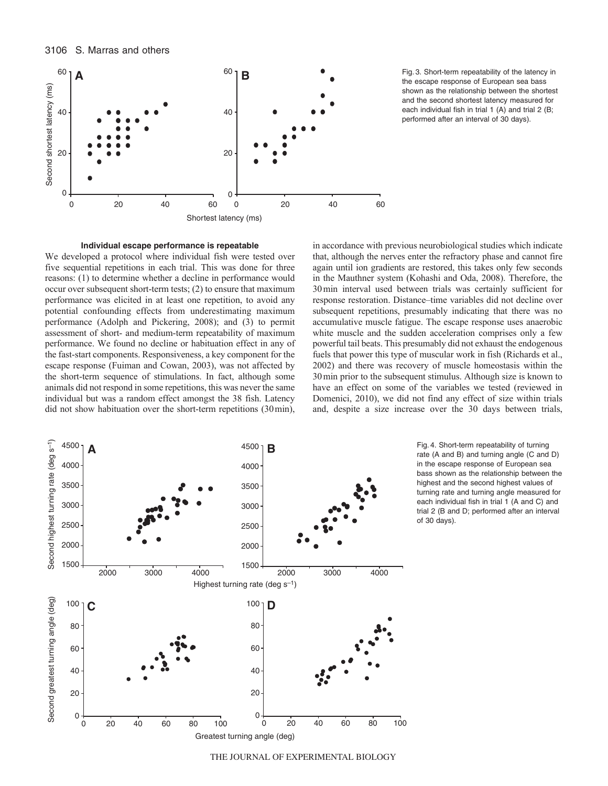



the escape response of European sea bass shown as the relationship between the shortest and the second shortest latency measured for each individual fish in trial 1 (A) and trial 2 (B; performed after an interval of 30 days).

# **Individual escape performance is repeatable**

We developed a protocol where individual fish were tested over five sequential repetitions in each trial. This was done for three reasons: (1) to determine whether a decline in performance would occur over subsequent short-term tests; (2) to ensure that maximum performance was elicited in at least one repetition, to avoid any potential confounding effects from underestimating maximum performance (Adolph and Pickering, 2008); and (3) to permit assessment of short- and medium-term repeatability of maximum performance. We found no decline or habituation effect in any of the fast-start components. Responsiveness, a key component for the escape response (Fuiman and Cowan, 2003), was not affected by the short-term sequence of stimulations. In fact, although some animals did not respond in some repetitions, this was never the same individual but was a random effect amongst the 38 fish. Latency did not show habituation over the short-term repetitions (30min),

in accordance with previous neurobiological studies which indicate that, although the nerves enter the refractory phase and cannot fire again until ion gradients are restored, this takes only few seconds in the Mauthner system (Kohashi and Oda, 2008). Therefore, the 30min interval used between trials was certainly sufficient for response restoration. Distance–time variables did not decline over subsequent repetitions, presumably indicating that there was no accumulative muscle fatigue. The escape response uses anaerobic white muscle and the sudden acceleration comprises only a few powerful tail beats. This presumably did not exhaust the endogenous fuels that power this type of muscular work in fish (Richards et al., 2002) and there was recovery of muscle homeostasis within the 30min prior to the subsequent stimulus. Although size is known to have an effect on some of the variables we tested (reviewed in Domenici, 2010), we did not find any effect of size within trials and, despite a size increase over the 30 days between trials,



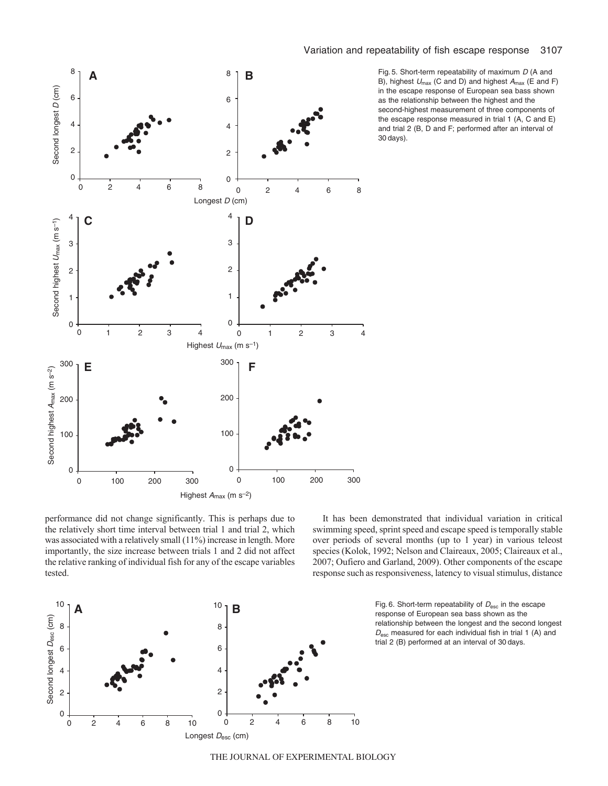

Fig. 5. Short-term repeatability of maximum D (A and B), highest  $U_{\text{max}}$  (C and D) and highest  $A_{\text{max}}$  (E and F) in the escape response of European sea bass shown as the relationship between the highest and the second-highest measurement of three components of the escape response measured in trial 1 (A, C and E) and trial 2 (B, D and F; performed after an interval of 30 days).

performance did not change significantly. This is perhaps due to the relatively short time interval between trial 1 and trial 2, which was associated with a relatively small (11%) increase in length. More importantly, the size increase between trials 1 and 2 did not affect the relative ranking of individual fish for any of the escape variables tested.

It has been demonstrated that individual variation in critical swimming speed, sprint speed and escape speed is temporally stable over periods of several months (up to 1 year) in various teleost species (Kolok, 1992; Nelson and Claireaux, 2005; Claireaux et al., 2007; Oufiero and Garland, 2009). Other components of the escape response such as responsiveness, latency to visual stimulus, distance



response of European sea bass shown as the relationship between the longest and the second longest  $D_{\text{esc}}$  measured for each individual fish in trial 1 (A) and trial 2 (B) performed at an interval of 30 days.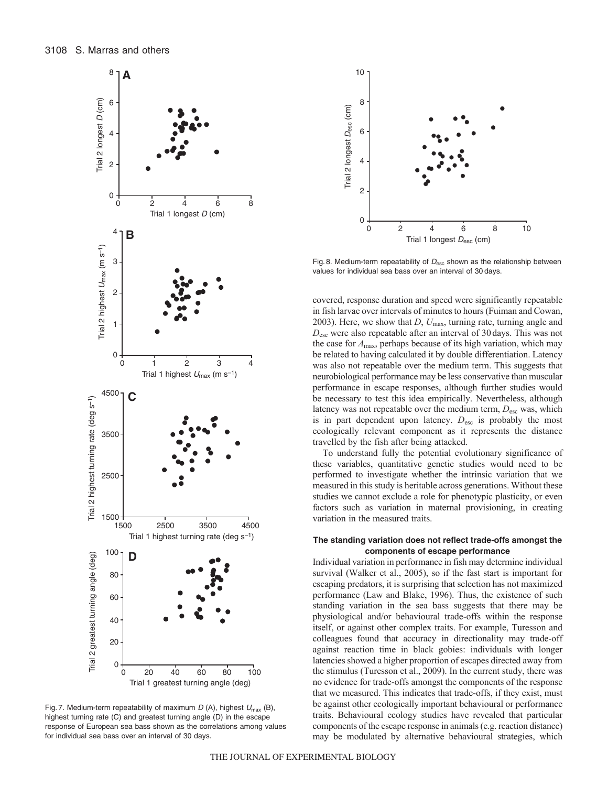

Fig. 7. Medium-term repeatability of maximum  $D(A)$ , highest  $U_{\text{max}}(B)$ , highest turning rate (C) and greatest turning angle (D) in the escape response of European sea bass shown as the correlations among values for individual sea bass over an interval of 30 days.



Fig. 8. Medium-term repeatability of  $D_{\text{esc}}$  shown as the relationship between values for individual sea bass over an interval of 30 days.

covered, response duration and speed were significantly repeatable in fish larvae over intervals of minutes to hours (Fuiman and Cowan, 2003). Here, we show that *D*, *U*max, turning rate, turning angle and *D*esc were also repeatable after an interval of 30 days. This was not the case for *A*max, perhaps because of its high variation, which may be related to having calculated it by double differentiation. Latency was also not repeatable over the medium term. This suggests that neurobiological performance may be less conservative than muscular performance in escape responses, although further studies would be necessary to test this idea empirically. Nevertheless, although latency was not repeatable over the medium term,  $D_{\text{esc}}$  was, which is in part dependent upon latency.  $D_{\text{esc}}$  is probably the most ecologically relevant component as it represents the distance travelled by the fish after being attacked.

To understand fully the potential evolutionary significance of these variables, quantitative genetic studies would need to be performed to investigate whether the intrinsic variation that we measured in this study is heritable across generations. Without these studies we cannot exclude a role for phenotypic plasticity, or even factors such as variation in maternal provisioning, in creating variation in the measured traits.

# **The standing variation does not reflect trade-offs amongst the components of escape performance**

Individual variation in performance in fish may determine individual survival (Walker et al., 2005), so if the fast start is important for escaping predators, it is surprising that selection has not maximized performance (Law and Blake, 1996). Thus, the existence of such standing variation in the sea bass suggests that there may be physiological and/or behavioural trade-offs within the response itself, or against other complex traits. For example, Turesson and colleagues found that accuracy in directionality may trade-off against reaction time in black gobies: individuals with longer latencies showed a higher proportion of escapes directed away from the stimulus (Turesson et al., 2009). In the current study, there was no evidence for trade-offs amongst the components of the response that we measured. This indicates that trade-offs, if they exist, must be against other ecologically important behavioural or performance traits. Behavioural ecology studies have revealed that particular components of the escape response in animals (e.g. reaction distance) may be modulated by alternative behavioural strategies, which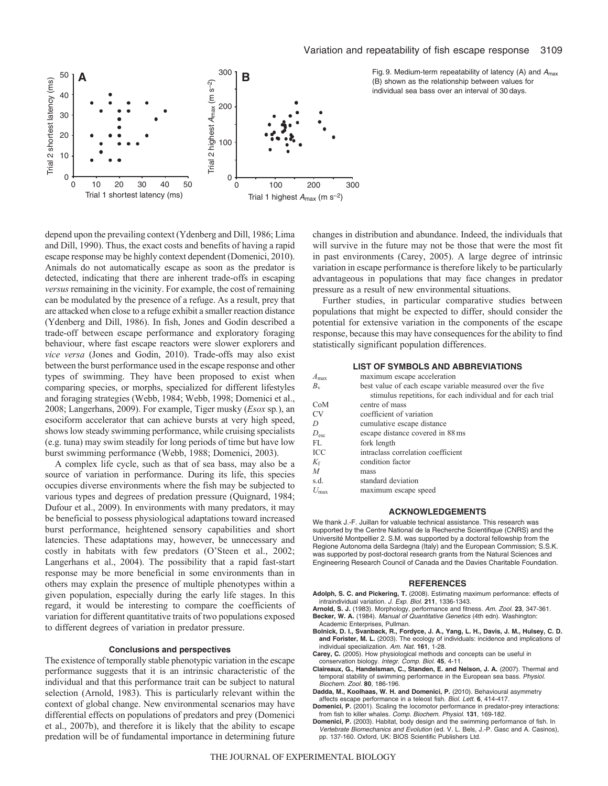

Fig. 9. Medium-term repeatability of latency (A) and  $A_{\text{max}}$ (B) shown as the relationship between values for individual sea bass over an interval of 30 days.

depend upon the prevailing context (Ydenberg and Dill, 1986; Lima and Dill, 1990). Thus, the exact costs and benefits of having a rapid escape response may be highly context dependent (Domenici, 2010). Animals do not automatically escape as soon as the predator is detected, indicating that there are inherent trade-offs in escaping *versus* remaining in the vicinity. For example, the cost of remaining can be modulated by the presence of a refuge. As a result, prey that are attacked when close to a refuge exhibit a smaller reaction distance (Ydenberg and Dill, 1986). In fish, Jones and Godin described a trade-off between escape performance and exploratory foraging behaviour, where fast escape reactors were slower explorers and *vice versa* (Jones and Godin, 2010). Trade-offs may also exist between the burst performance used in the escape response and other types of swimming. They have been proposed to exist when comparing species, or morphs, specialized for different lifestyles and foraging strategies (Webb, 1984; Webb, 1998; Domenici et al., 2008; Langerhans, 2009). For example, Tiger musky (*Esox* sp*.*), an esociform accelerator that can achieve bursts at very high speed, shows low steady swimming performance, while cruising specialists (e.g. tuna) may swim steadily for long periods of time but have low burst swimming performance (Webb, 1988; Domenici, 2003).

A complex life cycle, such as that of sea bass, may also be a source of variation in performance. During its life, this species occupies diverse environments where the fish may be subjected to various types and degrees of predation pressure (Quignard, 1984; Dufour et al., 2009). In environments with many predators, it may be beneficial to possess physiological adaptations toward increased burst performance, heightened sensory capabilities and short latencies. These adaptations may, however, be unnecessary and costly in habitats with few predators (O'Steen et al., 2002; Langerhans et al., 2004). The possibility that a rapid fast-start response may be more beneficial in some environments than in others may explain the presence of multiple phenotypes within a given population, especially during the early life stages. In this regard, it would be interesting to compare the coefficients of variation for different quantitative traits of two populations exposed to different degrees of variation in predator pressure.

### **Conclusions and perspectives**

The existence of temporally stable phenotypic variation in the escape performance suggests that it is an intrinsic characteristic of the individual and that this performance trait can be subject to natural selection (Arnold, 1983). This is particularly relevant within the context of global change. New environmental scenarios may have differential effects on populations of predators and prey (Domenici et al., 2007b), and therefore it is likely that the ability to escape predation will be of fundamental importance in determining future changes in distribution and abundance. Indeed, the individuals that will survive in the future may not be those that were the most fit in past environments (Carey, 2005). A large degree of intrinsic variation in escape performance is therefore likely to be particularly advantageous in populations that may face changes in predator pressure as a result of new environmental situations.

Further studies, in particular comparative studies between populations that might be expected to differ, should consider the potential for extensive variation in the components of the escape response, because this may have consequences for the ability to find statistically significant population differences.

#### **LIST OF SYMBOLS AND ABBREVIATIONS**

| $A_{\text{max}}$ | maximum escape acceleration                                  |
|------------------|--------------------------------------------------------------|
| $B_{\rm v}$      | best value of each escape variable measured over the five    |
|                  | stimulus repetitions, for each individual and for each trial |
| CoM              | centre of mass                                               |
| <b>CV</b>        | coefficient of variation                                     |
| $\prime$         | cumulative escape distance                                   |
| $D_{\rm esc}$    | escape distance covered in 88 ms                             |
| FL               | fork length                                                  |
| ICC              | intraclass correlation coefficient                           |
| $K_{\rm f}$      | condition factor                                             |
| $\overline{M}$   | mass                                                         |
| s.d.             | standard deviation                                           |
| max              | maximum escape speed                                         |
|                  |                                                              |

### **ACKNOWLEDGEMENTS**

We thank J.-F. Juillan for valuable technical assistance. This research was supported by the Centre National de la Recherche Scientifique (CNRS) and the Université Montpellier 2. S.M. was supported by a doctoral fellowship from the Regione Autonoma della Sardegna (Italy) and the European Commission; S.S.K. was supported by post-doctoral research grants from the Natural Sciences and Engineering Research Council of Canada and the Davies Charitable Foundation.

#### **REFERENCES**

- **Adolph, S. C. and Pickering, T.** (2008). Estimating maximum performance: effects of intraindividual variation. J. Exp. Biol. **211**, 1336-1343.
- **Arnold, S. J.** (1983). Morphology, performance and fitness. Am. Zool. **23**, 347-361. **Becker, W. A.** (1984). Manual of Quantitative Genetics (4th edn). Washington:
- Academic Enterprises, Pullman.
- **Bolnick, D. I., Svanback, R., Fordyce, J. A., Yang, L. H., Davis, J. M., Hulsey, C. D. and Forister, M. L.** (2003). The ecology of individuals: incidence and implications of individual specialization. Am. Nat. **161**, 1-28.
- **Carey, C.** (2005). How physiological methods and concepts can be useful in conservation biology. Integr. Comp. Biol. **45**, 4-11.
- **Claireaux, G., Handelsman, C., Standen, E. and Nelson, J. A.** (2007). Thermal and temporal stability of swimming performance in the European sea bass. Physiol. Biochem. Zool. **80**, 186-196.
- **Dadda, M., Koolhaas, W. H. and Domenici, P.** (2010). Behavioural asymmetry affects escape performance in a teleost fish. Biol. Lett. **6**, 414-417.
- **Domenici, P.** (2001). Scaling the locomotor performance in predator-prey interactions: from fish to killer whales. Comp. Biochem. Physiol. **131**, 169-182.
- **Domenici, P.** (2003). Habitat, body design and the swimming performance of fish. In Vertebrate Biomechanics and Evolution (ed. V. L. Bels, J.-P. Gasc and A. Casinos), pp. 137-160. Oxford, UK: BIOS Scientific Publishers Ltd.